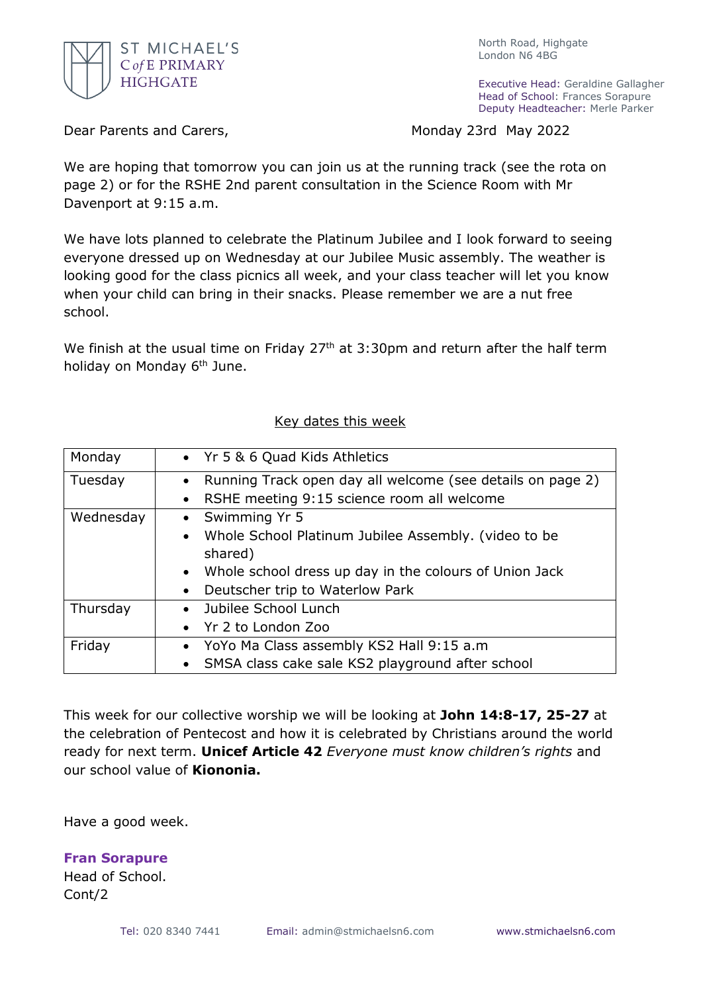

North Road, Highgate London N6 4BG

Executive Head: Geraldine Gallagher Head of School: Frances Sorapure Deputy Headteacher: Merle Parker

Dear Parents and Carers, Monday 23rd May 2022

We are hoping that tomorrow you can join us at the running track (see the rota on page 2) or for the RSHE 2nd parent consultation in the Science Room with Mr Davenport at 9:15 a.m.

We have lots planned to celebrate the Platinum Jubilee and I look forward to seeing everyone dressed up on Wednesday at our Jubilee Music assembly. The weather is looking good for the class picnics all week, and your class teacher will let you know when your child can bring in their snacks. Please remember we are a nut free school.

We finish at the usual time on Friday  $27<sup>th</sup>$  at 3:30pm and return after the half term holiday on Monday 6<sup>th</sup> June.

| Monday    | • Yr 5 & 6 Quad Kids Athletics                                                                                                                                                                                                    |
|-----------|-----------------------------------------------------------------------------------------------------------------------------------------------------------------------------------------------------------------------------------|
| Tuesday   | Running Track open day all welcome (see details on page 2)<br>$\bullet$<br>RSHE meeting 9:15 science room all welcome<br>$\bullet$                                                                                                |
| Wednesday | Swimming Yr 5<br>$\bullet$<br>Whole School Platinum Jubilee Assembly. (video to be<br>$\bullet$<br>shared)<br>Whole school dress up day in the colours of Union Jack<br>$\bullet$<br>Deutscher trip to Waterlow Park<br>$\bullet$ |
| Thursday  | Jubilee School Lunch<br>$\bullet$<br>Yr 2 to London Zoo                                                                                                                                                                           |
| Friday    | YoYo Ma Class assembly KS2 Hall 9:15 a.m<br>$\bullet$<br>SMSA class cake sale KS2 playground after school<br>$\bullet$                                                                                                            |

## Key dates this week

This week for our collective worship we will be looking at **John 14:8-17, 25-27** at the celebration of Pentecost and how it is celebrated by Christians around the world ready for next term. **Unicef Article 42** *Everyone must know children's rights* and our school value of **Kiononia.**

Have a good week.

**Fran Sorapure** Head of School. Cont/2